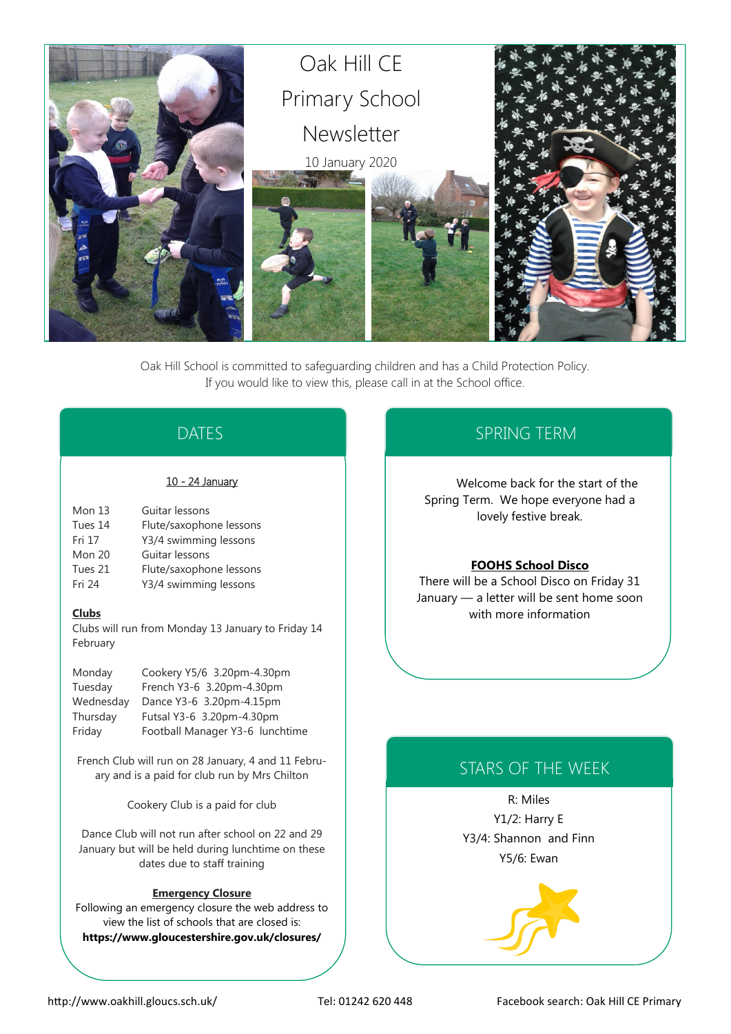

Oak Hill School is committed to safeguarding children and has a Child Protection Policy. If you would like to view this, please call in at the School office.

# DATES

### 10 - 24 January

| Mon $13$ | Guitar lessons          |
|----------|-------------------------|
| Tues 14  | Flute/saxophone lessons |
| Fri 17   | Y3/4 swimming lessons   |
| Mon 20   | Guitar lessons          |
| Tues 21  | Flute/saxophone lessons |
| Fri 24   | Y3/4 swimming lessons   |

### **Clubs**

Clubs will run from Monday 13 January to Friday 14 February

| Monday    | Cookery Y5/6 3.20pm-4.30pm      |
|-----------|---------------------------------|
| Tuesday   | French Y3-6 3.20pm-4.30pm       |
| Wednesday | Dance Y3-6 3.20pm-4.15pm        |
| Thursday  | Futsal Y3-6 3.20pm-4.30pm       |
| Friday    | Football Manager Y3-6 lunchtime |

French Club will run on 28 January, 4 and 11 February and is a paid for club run by Mrs Chilton

Cookery Club is a paid for club

Dance Club will not run after school on 22 and 29 January but will be held during lunchtime on these dates due to staff training

### **Emergency Closure**

Following an emergency closure the web address to view the list of schools that are closed is: **https://www.gloucestershire.gov.uk/closures/**

# SPRING TERM

Welcome back for the start of the Spring Term. We hope everyone had a lovely festive break.

### **FOOHS School Disco**

There will be a School Disco on Friday 31 January — a letter will be sent home soon with more information

# STARS OF THE WEEK

R: Miles Y1/2: Harry E Y3/4: Shannon and Finn Y5/6: Ewan